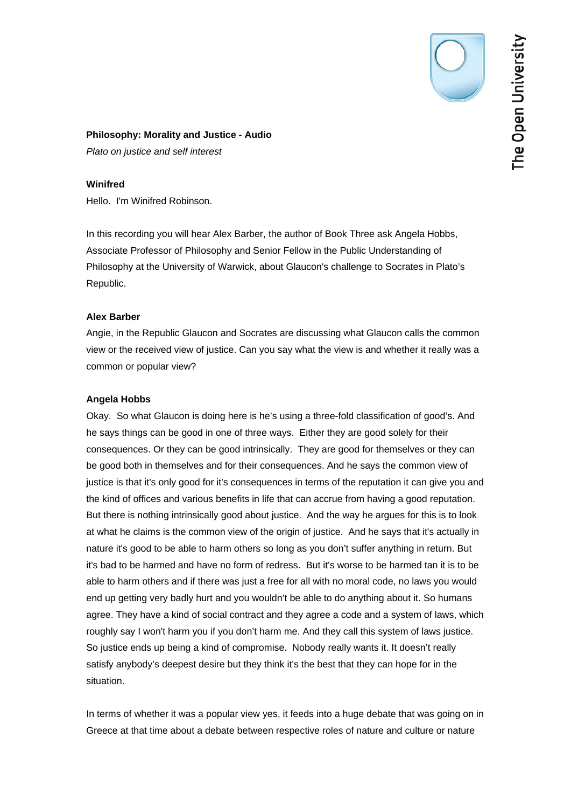# **Philosophy: Morality and Justice - Audio**

*Plato on justice and self interest* 

# **Winifred**

Hello. I'm Winifred Robinson.

In this recording you will hear Alex Barber, the author of Book Three ask Angela Hobbs, Associate Professor of Philosophy and Senior Fellow in the Public Understanding of Philosophy at the University of Warwick, about Glaucon's challenge to Socrates in Plato's Republic.

# **Alex Barber**

Angie, in the Republic Glaucon and Socrates are discussing what Glaucon calls the common view or the received view of justice. Can you say what the view is and whether it really was a common or popular view?

# **Angela Hobbs**

Okay. So what Glaucon is doing here is he's using a three-fold classification of good's. And he says things can be good in one of three ways. Either they are good solely for their consequences. Or they can be good intrinsically. They are good for themselves or they can be good both in themselves and for their consequences. And he says the common view of justice is that it's only good for it's consequences in terms of the reputation it can give you and the kind of offices and various benefits in life that can accrue from having a good reputation. But there is nothing intrinsically good about justice. And the way he argues for this is to look at what he claims is the common view of the origin of justice. And he says that it's actually in nature it's good to be able to harm others so long as you don't suffer anything in return. But it's bad to be harmed and have no form of redress. But it's worse to be harmed tan it is to be able to harm others and if there was just a free for all with no moral code, no laws you would end up getting very badly hurt and you wouldn't be able to do anything about it. So humans agree. They have a kind of social contract and they agree a code and a system of laws, which roughly say I won't harm you if you don't harm me. And they call this system of laws justice. So justice ends up being a kind of compromise. Nobody really wants it. It doesn't really satisfy anybody's deepest desire but they think it's the best that they can hope for in the situation.

In terms of whether it was a popular view yes, it feeds into a huge debate that was going on in Greece at that time about a debate between respective roles of nature and culture or nature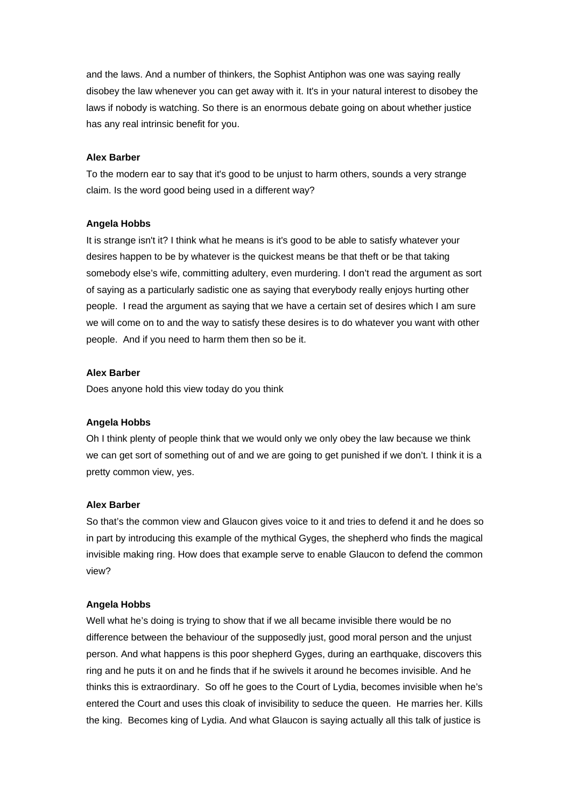and the laws. And a number of thinkers, the Sophist Antiphon was one was saying really disobey the law whenever you can get away with it. It's in your natural interest to disobey the laws if nobody is watching. So there is an enormous debate going on about whether justice has any real intrinsic benefit for you.

#### **Alex Barber**

To the modern ear to say that it's good to be unjust to harm others, sounds a very strange claim. Is the word good being used in a different way?

#### **Angela Hobbs**

It is strange isn't it? I think what he means is it's good to be able to satisfy whatever your desires happen to be by whatever is the quickest means be that theft or be that taking somebody else's wife, committing adultery, even murdering. I don't read the argument as sort of saying as a particularly sadistic one as saying that everybody really enjoys hurting other people. I read the argument as saying that we have a certain set of desires which I am sure we will come on to and the way to satisfy these desires is to do whatever you want with other people. And if you need to harm them then so be it.

## **Alex Barber**

Does anyone hold this view today do you think

#### **Angela Hobbs**

Oh I think plenty of people think that we would only we only obey the law because we think we can get sort of something out of and we are going to get punished if we don't. I think it is a pretty common view, yes.

## **Alex Barber**

So that's the common view and Glaucon gives voice to it and tries to defend it and he does so in part by introducing this example of the mythical Gyges, the shepherd who finds the magical invisible making ring. How does that example serve to enable Glaucon to defend the common view?

### **Angela Hobbs**

Well what he's doing is trying to show that if we all became invisible there would be no difference between the behaviour of the supposedly just, good moral person and the unjust person. And what happens is this poor shepherd Gyges, during an earthquake, discovers this ring and he puts it on and he finds that if he swivels it around he becomes invisible. And he thinks this is extraordinary. So off he goes to the Court of Lydia, becomes invisible when he's entered the Court and uses this cloak of invisibility to seduce the queen. He marries her. Kills the king. Becomes king of Lydia. And what Glaucon is saying actually all this talk of justice is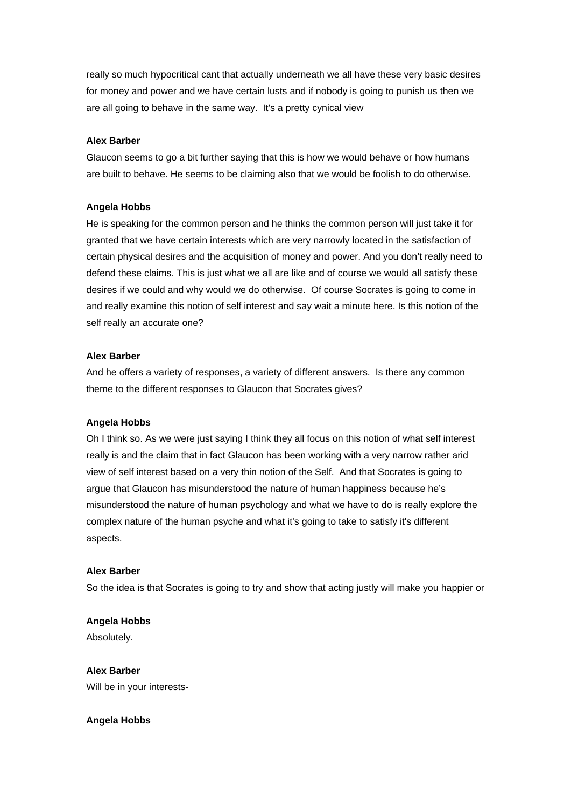really so much hypocritical cant that actually underneath we all have these very basic desires for money and power and we have certain lusts and if nobody is going to punish us then we are all going to behave in the same way. It's a pretty cynical view

### **Alex Barber**

Glaucon seems to go a bit further saying that this is how we would behave or how humans are built to behave. He seems to be claiming also that we would be foolish to do otherwise.

### **Angela Hobbs**

He is speaking for the common person and he thinks the common person will just take it for granted that we have certain interests which are very narrowly located in the satisfaction of certain physical desires and the acquisition of money and power. And you don't really need to defend these claims. This is just what we all are like and of course we would all satisfy these desires if we could and why would we do otherwise. Of course Socrates is going to come in and really examine this notion of self interest and say wait a minute here. Is this notion of the self really an accurate one?

## **Alex Barber**

And he offers a variety of responses, a variety of different answers. Is there any common theme to the different responses to Glaucon that Socrates gives?

#### **Angela Hobbs**

Oh I think so. As we were just saying I think they all focus on this notion of what self interest really is and the claim that in fact Glaucon has been working with a very narrow rather arid view of self interest based on a very thin notion of the Self. And that Socrates is going to argue that Glaucon has misunderstood the nature of human happiness because he's misunderstood the nature of human psychology and what we have to do is really explore the complex nature of the human psyche and what it's going to take to satisfy it's different aspects.

## **Alex Barber**

So the idea is that Socrates is going to try and show that acting justly will make you happier or

**Angela Hobbs**  Absolutely.

**Alex Barber**  Will be in your interests-

## **Angela Hobbs**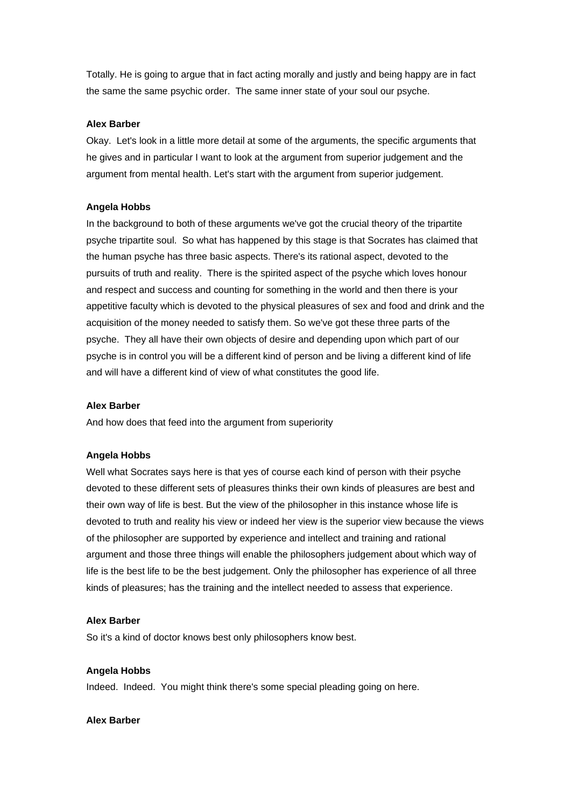Totally. He is going to argue that in fact acting morally and justly and being happy are in fact the same the same psychic order. The same inner state of your soul our psyche.

### **Alex Barber**

Okay. Let's look in a little more detail at some of the arguments, the specific arguments that he gives and in particular I want to look at the argument from superior judgement and the argument from mental health. Let's start with the argument from superior judgement.

### **Angela Hobbs**

In the background to both of these arguments we've got the crucial theory of the tripartite psyche tripartite soul. So what has happened by this stage is that Socrates has claimed that the human psyche has three basic aspects. There's its rational aspect, devoted to the pursuits of truth and reality. There is the spirited aspect of the psyche which loves honour and respect and success and counting for something in the world and then there is your appetitive faculty which is devoted to the physical pleasures of sex and food and drink and the acquisition of the money needed to satisfy them. So we've got these three parts of the psyche. They all have their own objects of desire and depending upon which part of our psyche is in control you will be a different kind of person and be living a different kind of life and will have a different kind of view of what constitutes the good life.

#### **Alex Barber**

And how does that feed into the argument from superiority

#### **Angela Hobbs**

Well what Socrates says here is that yes of course each kind of person with their psyche devoted to these different sets of pleasures thinks their own kinds of pleasures are best and their own way of life is best. But the view of the philosopher in this instance whose life is devoted to truth and reality his view or indeed her view is the superior view because the views of the philosopher are supported by experience and intellect and training and rational argument and those three things will enable the philosophers judgement about which way of life is the best life to be the best judgement. Only the philosopher has experience of all three kinds of pleasures; has the training and the intellect needed to assess that experience.

#### **Alex Barber**

So it's a kind of doctor knows best only philosophers know best.

#### **Angela Hobbs**

Indeed. Indeed. You might think there's some special pleading going on here.

#### **Alex Barber**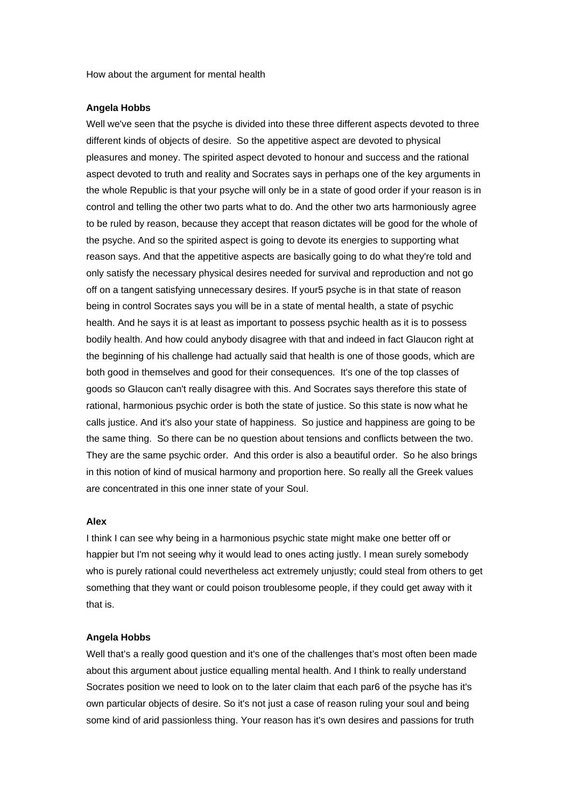How about the argument for mental health

#### **Angela Hobbs**

Well we've seen that the psyche is divided into these three different aspects devoted to three different kinds of objects of desire. So the appetitive aspect are devoted to physical pleasures and money. The spirited aspect devoted to honour and success and the rational aspect devoted to truth and reality and Socrates says in perhaps one of the key arguments in the whole Republic is that your psyche will only be in a state of good order if your reason is in control and telling the other two parts what to do. And the other two arts harmoniously agree to be ruled by reason, because they accept that reason dictates will be good for the whole of the psyche. And so the spirited aspect is going to devote its energies to supporting what reason says. And that the appetitive aspects are basically going to do what they're told and only satisfy the necessary physical desires needed for survival and reproduction and not go off on a tangent satisfying unnecessary desires. If your5 psyche is in that state of reason being in control Socrates says you will be in a state of mental health, a state of psychic health. And he says it is at least as important to possess psychic health as it is to possess bodily health. And how could anybody disagree with that and indeed in fact Glaucon right at the beginning of his challenge had actually said that health is one of those goods, which are both good in themselves and good for their consequences. It's one of the top classes of goods so Glaucon can't really disagree with this. And Socrates says therefore this state of rational, harmonious psychic order is both the state of justice. So this state is now what he calls justice. And it's also your state of happiness. So justice and happiness are going to be the same thing. So there can be no question about tensions and conflicts between the two. They are the same psychic order. And this order is also a beautiful order. So he also brings in this notion of kind of musical harmony and proportion here. So really all the Greek values are concentrated in this one inner state of your Soul.

## **Alex**

I think I can see why being in a harmonious psychic state might make one better off or happier but I'm not seeing why it would lead to ones acting justly. I mean surely somebody who is purely rational could nevertheless act extremely unjustly; could steal from others to get something that they want or could poison troublesome people, if they could get away with it that is.

#### **Angela Hobbs**

Well that's a really good question and it's one of the challenges that's most often been made about this argument about justice equalling mental health. And I think to really understand Socrates position we need to look on to the later claim that each par6 of the psyche has it's own particular objects of desire. So it's not just a case of reason ruling your soul and being some kind of arid passionless thing. Your reason has it's own desires and passions for truth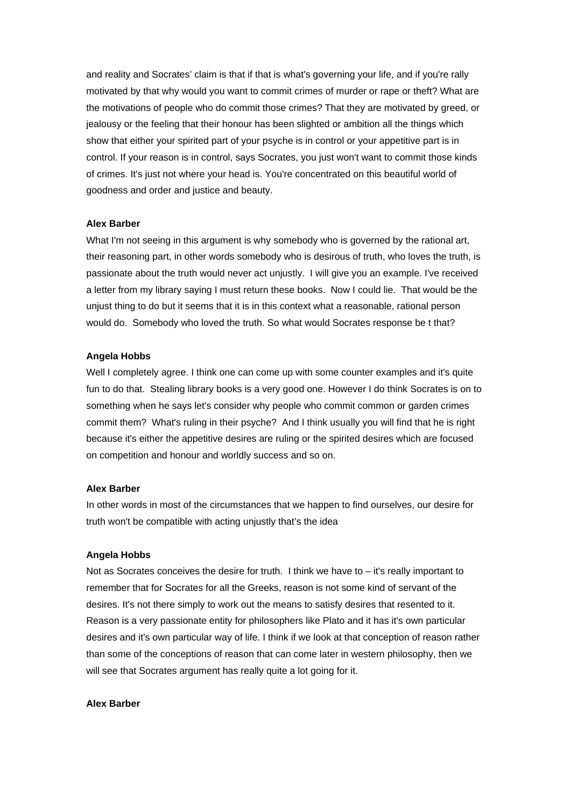and reality and Socrates' claim is that if that is what's governing your life, and if you're rally motivated by that why would you want to commit crimes of murder or rape or theft? What are the motivations of people who do commit those crimes? That they are motivated by greed, or jealousy or the feeling that their honour has been slighted or ambition all the things which show that either your spirited part of your psyche is in control or your appetitive part is in control. If your reason is in control, says Socrates, you just won't want to commit those kinds of crimes. It's just not where your head is. You're concentrated on this beautiful world of goodness and order and justice and beauty.

#### **Alex Barber**

What I'm not seeing in this argument is why somebody who is governed by the rational art. their reasoning part, in other words somebody who is desirous of truth, who loves the truth, is passionate about the truth would never act unjustly. I will give you an example. I've received a letter from my library saying I must return these books. Now I could lie. That would be the unjust thing to do but it seems that it is in this context what a reasonable, rational person would do. Somebody who loved the truth. So what would Socrates response be t that?

#### **Angela Hobbs**

Well I completely agree. I think one can come up with some counter examples and it's quite fun to do that. Stealing library books is a very good one. However I do think Socrates is on to something when he says let's consider why people who commit common or garden crimes commit them? What's ruling in their psyche? And I think usually you will find that he is right because it's either the appetitive desires are ruling or the spirited desires which are focused on competition and honour and worldly success and so on.

## **Alex Barber**

In other words in most of the circumstances that we happen to find ourselves, our desire for truth won't be compatible with acting unjustly that's the idea

### **Angela Hobbs**

Not as Socrates conceives the desire for truth. I think we have to – it's really important to remember that for Socrates for all the Greeks, reason is not some kind of servant of the desires. It's not there simply to work out the means to satisfy desires that resented to it. Reason is a very passionate entity for philosophers like Plato and it has it's own particular desires and it's own particular way of life. I think if we look at that conception of reason rather than some of the conceptions of reason that can come later in western philosophy, then we will see that Socrates argument has really quite a lot going for it.

#### **Alex Barber**